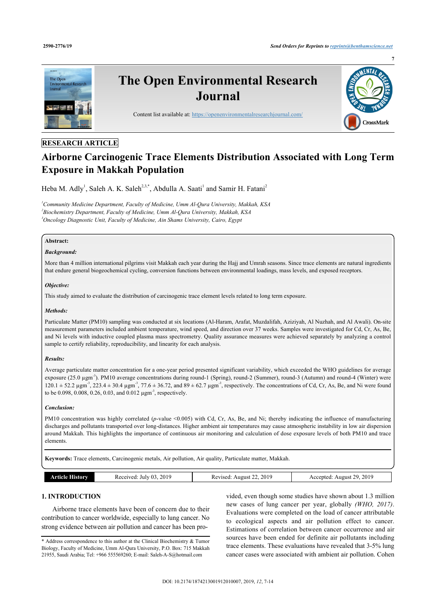

# **RESEARCH ARTICLE**

# **Airborne Carcinogenic Trace Elements Distribution Associated with Long Term Exposure in Makkah Population**

Heba M. Adly<sup>[1](#page-0-0)</sup>, Saleh A. K. Saleh<sup>[2](#page-0-1)[,3](#page-0-2),[\\*](#page-0-3)</sup>, Abdulla A. Saati<sup>1</sup> and Samir H. Fatani<sup>2</sup>

<span id="page-0-2"></span><span id="page-0-1"></span><span id="page-0-0"></span>*<sup>1</sup>Community Medicine Department, Faculty of Medicine, Umm Al-Qura University, Makkah, KSA 2 Biochemistry Department, Faculty of Medicine, Umm Al-Qura University, Makkah, KSA <sup>3</sup>Oncology Diagnostic Unit, Faculty of Medicine, Ain Shams University, Cairo, Egypt*

## **Abstract:**

#### *Background:*

More than 4 million international pilgrims visit Makkah each year during the Hajj and Umrah seasons. Since trace elements are natural ingredients that endure general biogeochemical cycling, conversion functions between environmental loadings, mass levels, and exposed receptors.

#### *Objective:*

This study aimed to evaluate the distribution of carcinogenic trace element levels related to long term exposure.

#### *Methods:*

Particulate Matter (PM10) sampling was conducted at six locations (Al-Haram, Arafat, Muzdalifah, Aziziyah, Al Nuzhah, and Al Awali). On-site measurement parameters included ambient temperature, wind speed, and direction over 37 weeks. Samples were investigated for Cd, Cr, As, Be, and Ni levels with inductive coupled plasma mass spectrometry. Quality assurance measures were achieved separately by analyzing a control sample to certify reliability, reproducibility, and linearity for each analysis.

#### *Results:*

Average particulate matter concentration for a one-year period presented significant variability, which exceeded the WHO guidelines for average exposure  $(25.0 \text{ µgm}^{-3})$ . PM10 average concentrations during round-1 (Spring), round-2 (Summer), round-3 (Autumn) and round-4 (Winter) were  $120.1 \pm 52.2 \,\mu\text{gm}^3$ ,  $223.4 \pm 30.4 \,\mu\text{gm}^3$ ,  $77.6 \pm 36.72$ , and  $89 \pm 62.7 \,\mu\text{gm}^3$ , respectively. The concentrations of Cd, Cr, As, Be, and Ni were found to be 0.098, 0.008, 0.26, 0.03, and 0.012 μgm<sup>-3</sup>, respectively.

#### *Conclusion:*

PM10 concentration was highly correlated (*p*-value <0.005) with Cd, Cr, As, Be, and Ni; thereby indicating the influence of manufacturing discharges and pollutants transported over long-distances. Higher ambient air temperatures may cause atmospheric instability in low air dispersion around Makkah. This highlights the importance of continuous air monitoring and calculation of dose exposure levels of both PM10 and trace elements.

**Keywords:** Trace elements, Carcinogenic metals, Air pollution, Air quality, Particulate matter, Makkah.

| <b>THRIOTY</b><br>rticle : | 2019<br>-03<br>Received<br>July | .2019<br>August 22.<br>Revised | 2019<br>$20^{\circ}$<br>Accented<br>August 2.<br>-- - |
|----------------------------|---------------------------------|--------------------------------|-------------------------------------------------------|

# **1. INTRODUCTION**

Airborne trace elements have been of concern due to their contribution to cancer worldwide, especially to lung cancer. No strong evidence between air pollution and cancer has been pro-

vided, even though some studies have shown about 1.3 million new cases of lung cancer per year, globally *(WHO, 2017)*. Evaluations were completed on the load of cancer attributable to ecological aspects and air pollution effect to cancer. Estimations of correlation between cancer occurrence and air sources have been ended for definite air pollutants including trace elements. These evaluations have revealed that 3-5% lung cancer cases were associated with ambient air pollution. Cohen

<span id="page-0-3"></span><sup>\*</sup> Address correspondence to this author at the Clinical Biochemistry & Tumor Biology, Faculty of Medicine, Umm Al-Qura University, P.O. Box: 715 Makkah 21955, Saudi Arabia; Tel: +966 555569260; E-mail: [Saleh-A-S@hotmail.com](mailto:Saleh-A-S@hotmail.com)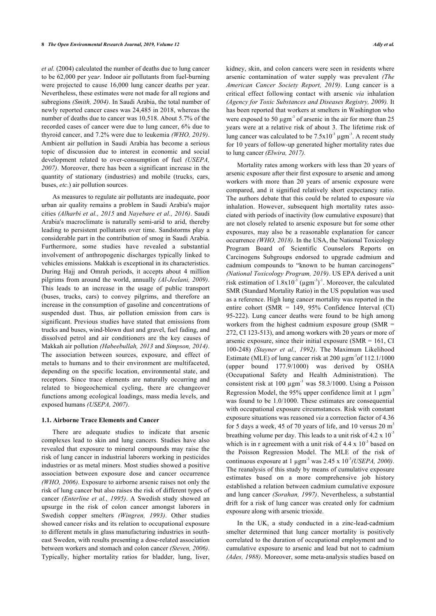*et al.* (2004) calculated the number of deaths due to lung cancer to be 62,000 per yea*r*. Indoor air pollutants from fuel-burning were projected to cause 16,000 lung cancer deaths per year. Nevertheless, these estimates were not made for all regions and subregions *(Smith, 2004)*. In Saudi Arabia, the total number of newly reported cancer cases was 24,485 in 2018, whereas the number of deaths due to cancer was 10,518. About 5.7% of the recorded cases of cancer were due to lung cancer, 6% due to thyroid cancer, and 7.2% were due to leukemia *(WHO, 2019)*. Ambient air pollution in Saudi Arabia has become a serious topic of discussion due to interest in economic and social development related to over-consumption of fuel *(USEPA, 2007)*. Moreover, there has been a significant increase in the quantity of stationary (industries) and mobile (trucks, cars, buses, *etc*.) air pollution sources.

As measures to regulate air pollutants are inadequate, poor urban air quality remains a problem in Saudi Arabia's major cities *(Alharbi et al., 2015* and *Nayebare et al., 2016)*. Saudi Arabia's macroclimate is naturally semi-arid to arid, thereby leading to persistent pollutants over time. Sandstorms play a considerable part in the contribution of smog in Saudi Arabia. Furthermore, some studies have revealed a substantial involvement of anthropogenic discharges typically linked to vehicles emissions. Makkah is exceptional in its characteristics. During Hajj and Omrah periods, it accepts about 4 million pilgrims from around the world, annually *(Al-Jeelani, 2009)*. This leads to an increase in the usage of public transport (buses, trucks, cars) to convey pilgrims, and therefore an increase in the consumption of gasoline and concentrations of suspended dust. Thus, air pollution emission from cars is significant. Previous studies have stated that emissions from trucks and buses, wind-blown dust and gravel, fuel fading, and dissolved petrol and air conditioners are the key causes of Makkah air pollution *(Habeebullah, 2013* and *Simpson, 2014)*. The association between sources, exposure, and effect of metals to humans and to their environment are multifaceted, depending on the specific location, environmental state, and receptors. Since trace elements are naturally occurring and related to biogeochemical cycling, there are changeover functions among ecological loadings, mass media levels, and exposed humans *(USEPA, 2007)*.

#### **1.1. Airborne Trace Elements and Cancer**

There are adequate studies to indicate that arsenic complexes lead to skin and lung cancers. Studies have also revealed that exposure to mineral compounds may raise the risk of lung cancer in industrial laborers working in pesticides industries or as metal miners. Most studies showed a positive association between exposure dose and cancer occurrence *(WHO, 2006)*. Exposure to airborne arsenic raises not only the risk of lung cancer but also raises the risk of different types of cancer *(Enterline et al., 1995)*. A Swedish study showed an upsurge in the risk of colon cancer amongst laborers in Swedish copper smelters *(Wingren, 1993)*. Other studies showed cancer risks and its relation to occupational exposure to different metals in glass manufacturing industries in southeast Sweden, with results presenting a dose-related association between workers and stomach and colon cancer *(Steven, 2006)*. Typically, higher mortality ratios for bladder, lung, liver,

kidney, skin, and colon cancers were seen in residents where arsenic contamination of water supply was prevalent *(The American Cancer Society Report, 2019)*. Lung cancer is a critical effect following contact with arsenic *via* inhalation *(Agency for Toxic Substances and Diseases Registry, 2009).* It has been reported that workers at smelters in Washington who were exposed to 50  $\mu$ gm<sup>-3</sup> of arsenic in the air for more than 25 years were at a relative risk of about 3. The lifetime risk of lung cancer was calculated to be  $7.5 \times 10^{-3}$  µgm<sup>-3</sup>. A recent study for 10 years of follow-up generated higher mortality rates due to lung cancer *(Elwira, 2017).*

Mortality rates among workers with less than 20 years of arsenic exposure after their first exposure to arsenic and among workers with more than 20 years of arsenic exposure were compared, and it signified relatively short expectancy ratio. The authors debate that this could be related to exposure *via* inhalation. However, subsequent high mortality rates associated with periods of inactivity (low cumulative exposure) that are not closely related to arsenic exposure but for some other exposures, may also be a reasonable explanation for cancer occurrence *(WHO, 2018)*. In the USA, the National Toxicology Program Board of Scientific Counselors Reports on Carcinogens Subgroups endorsed to upgrade cadmium and cadmium compounds to "known to be human carcinogens" *(National Toxicology Program, 2019)*. US EPA derived a unit risk estimation of  $1.8 \times 10^{-3}$  (µgm<sup>-3</sup>)<sup>-1</sup>. Moreover, the calculated SMR (Standard Mortality Ratio) in the US population was used as a reference. High lung cancer mortality was reported in the entire cohort (SMR = 149, 95% Confidence Interval (CI) 95-222). Lung cancer deaths were found to be high among workers from the highest cadmium exposure group (SMR = 272, CI 123-513), and among workers with 20 years or more of arsenic exposure, since their initial exposure  $(SMR = 161, CI)$ 100-248) *(Stayner et al., 1992)*. The Maximum Likelihood Estimate (MLE) of lung cancer risk at  $200 \mu$ gm<sup>-3</sup>of 112.1/1000 (upper bound 177.9/1000) was derived by OSHA (Occupational Safety and Health Administration). The consistent risk at 100  $\mu$ gm<sup>-3</sup> was 58.3/1000. Using a Poisson Regression Model, the 95% upper confidence limit at 1  $\mu$ gm<sup>-3</sup> was found to be 1.0/1000. These estimates are consequential with occupational exposure circumstances. Risk with constant exposure situations was reasoned *via* a correction factor of 4.36 for 5 days a week, 45 of 70 years of life, and 10 versus  $20 \text{ m}^3$ breathing volume per day. This leads to a unit risk of  $4.2 \times 10^{-3}$ which is in r agreement with a unit risk of  $4.4 \times 10^{-3}$  based on the Poisson Regression Model. The MLE of the risk of continuous exposure at 1 µgm-3 was 2.45 x 10-3*(USEPA, 2000)*. The reanalysis of this study by means of cumulative exposure estimates based on a more comprehensive job history established a relation between cadmium cumulative exposure and lung cancer *(Sorahan, 1997)*. Nevertheless, a substantial drift for a risk of lung cancer was created only for cadmium exposure along with arsenic trioxide.

In the UK, a study conducted in a zinc-lead-cadmium smelter determined that lung cancer mortality is positively correlated to the duration of occupational employment and to cumulative exposure to arsenic and lead but not to cadmium *(Ades, 1988)*. Moreover, some meta-analysis studies based on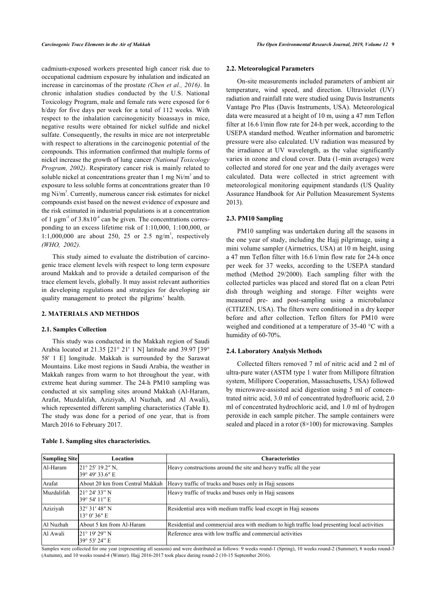cadmium-exposed workers presented high cancer risk due to occupational cadmium exposure by inhalation and indicated an increase in carcinomas of the prostate *(Chen et al., 2016)*. In chronic inhalation studies conducted by the U.S. National Toxicology Program, male and female rats were exposed for 6 h/day for five days per week for a total of 112 weeks. With respect to the inhalation carcinogenicity bioassays in mice, negative results were obtained for nickel sulfide and nickel sulfate. Consequently, the results in mice are not interpretable with respect to alterations in the carcinogenic potential of the compounds. This information confirmed that multiple forms of nickel increase the growth of lung cancer *(National Toxicology Program, 2002)*. Respiratory cancer risk is mainly related to soluble nickel at concentrations greater than 1 mg  $Ni/m<sup>3</sup>$  and to exposure to less soluble forms at concentrations greater than 10 mg Ni/m<sup>3</sup>. Currently, numerous cancer risk estimates for nickel compounds exist based on the newest evidence of exposure and the risk estimated in industrial populations is at a concentration of 1  $\mu$ gm<sup>-3</sup> of 3.8x10<sup>-4</sup> can be given. The concentrations corresponding to an excess lifetime risk of 1:10,000, 1:100,000, or 1:1,000,000 are about 250, 25 or 2.5 ng/m<sup>3</sup>, respectively *(WHO, 2002)*.

This study aimed to evaluate the distribution of carcinogenic trace element levels with respect to long term exposure around Makkah and to provide a detailed comparison of the trace element levels, globally. It may assist relevant authorities in developing regulations and strategies for developing air quality management to protect the pilgrims' health.

#### **2. MATERIALS AND METHDOS**

#### **2.1. Samples Collection**

This study was conducted in the Makkah region of Saudi Arabia located at 21.35 [21° 21' 1 N] latitude and 39.97 [39° 58' 1 E] longitude. Makkah is surrounded by the Sarawat Mountains. Like most regions in Saudi Arabia, the weather in Makkah ranges from warm to hot throughout the year, with extreme heat during summer. The 24-h PM10 sampling was conducted at six sampling sites around Makkah (Al-Haram, Arafat, Muzdalifah, Aziziyah, Al Nuzhah, and Al Awali), which represented different sampling characteristics (Table **[1](#page-2-0)**). The study was done for a period of one year, that is from March 2016 to February 2017.

#### **2.2. Meteorological Parameters**

On-site measurements included parameters of ambient air temperature, wind speed, and direction. Ultraviolet (UV) radiation and rainfall rate were studied using Davis Instruments Vantage Pro Plus (Davis Instruments, USA). Meteorological data were measured at a height of 10 m, using a 47 mm Teflon filter at 16.6 l/min flow rate for 24-h per week, according to the USEPA standard method. Weather information and barometric pressure were also calculated. UV radiation was measured by the irradiance at UV wavelength, as the value significantly varies in ozone and cloud cover. Data (1-min averages) were collected and stored for one year and the daily averages were calculated. Data were collected in strict agreement with meteorological monitoring equipment standards (US Quality Assurance Handbook for Air Pollution Measurement Systems 2013).

## **2.3. PM10 Sampling**

PM10 sampling was undertaken during all the seasons in the one year of study, including the Hajj pilgrimage, using a mini volume sampler (Airmetrics, USA) at 10 m height, using a 47 mm Teflon filter with 16.6 l/min flow rate for 24-h once per week for 37 weeks, according to the USEPA standard method (Method 29/2000). Each sampling filter with the collected particles was placed and stored flat on a clean Petri dish through weighing and storage. Filter weights were measured pre- and post-sampling using a microbalance (CITIZEN, USA). The filters were conditioned in a dry keeper before and after collection. Teflon filters for PM10 were weighed and conditioned at a temperature of 35-40 °C with a humidity of 60-70%.

## **2.4. Laboratory Analysis Methods**

Collected filters removed 7 ml of nitric acid and 2 ml of ultra-pure water (ASTM type 1 water from Millipore filtration system, Millipore Cooperation, Massachusetts, USA) followed by microwave-assisted acid digestion using 5 ml of concentrated nitric acid, 3.0 ml of concentrated hydrofluoric acid, 2.0 ml of concentrated hydrochloric acid, and 1.0 ml of hydrogen peroxide in each sample pitcher. The sample containers were sealed and placed in a rotor (8×100) for microwaving. Samples

| <b>Sampling Site</b> | Location                                         | <b>Characteristics</b>                                                                       |
|----------------------|--------------------------------------------------|----------------------------------------------------------------------------------------------|
| Al-Haram             | $21^{\circ} 25' 19.2'' N$ ,<br>39° 49′ 33.6″ E   | Heavy constructions around the site and heavy traffic all the year                           |
| Arafat               | About 20 km from Central Makkah                  | Heavy traffic of trucks and buses only in Hajj seasons                                       |
| Muzdalifah           | $121^{\circ} 24' 33''$ N<br>39° 54′ 11″ E        | Heavy traffic of trucks and buses only in Hajj seasons                                       |
| Aziziyah             | $132^{\circ}$ 31' 48" N<br>$13^{\circ}$ 0' 36" E | Residential area with medium traffic load except in Hajj seasons                             |
| Al Nuzhah            | About 5 km from Al-Haram                         | Residential and commercial area with medium to high traffic load presenting local activities |
| Al Awali             | $21^{\circ}$ 19' 29" N<br>39° 53′ 24″ E          | Reference area with low traffic and commercial activities                                    |

<span id="page-2-0"></span>**Table 1. Sampling sites characteristics.**

Samples were collected for one year (representing all seasons) and were distributed as follows: 9 weeks round-1 (Spring), 10 weeks round-2 (Summer), 8 weeks round-3 (Autumn), and 10 weeks round-4 (Winter). Hajj 2016-2017 took place during round-2 (10-15 September 2016).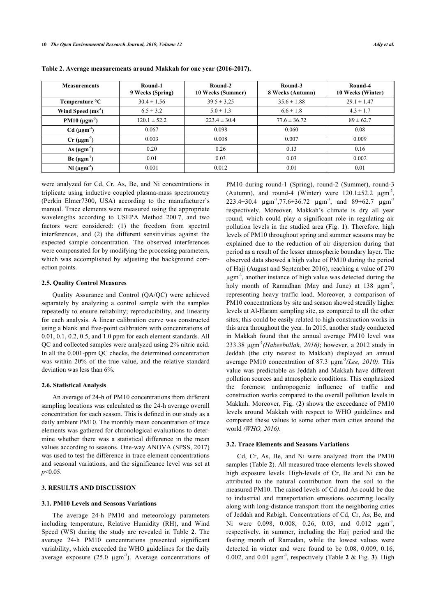| <b>Measurements</b>             | Round-1<br>9 Weeks (Spring) | Round-2<br>10 Weeks (Summer) | Round-3<br>8 Weeks (Autumn) | Round-4<br>10 Weeks (Winter) |
|---------------------------------|-----------------------------|------------------------------|-----------------------------|------------------------------|
| Temperature °C                  | $30.4 \pm 1.56$             | $39.5 \pm 3.25$              | $35.6 \pm 1.88$             | $29.1 \pm 1.47$              |
| Wind Speed $(ms-1)$             | $6.5 \pm 3.2$               | $5.0 \pm 1.3$                | $6.6 \pm 1.8$               | $4.3 \pm 1.7$                |
| PM10 $(\mu$ gm <sup>-3</sup> )  | $120.1 \pm 52.2$            | $223.4 \pm 30.4$             | $77.6 \pm 36.72$            | $89 \pm 62.7$                |
| $Cd$ ( $\mu$ gm <sup>-3</sup> ) | 0.067                       | 0.098                        | 0.060                       | 0.08                         |
| $Cr \, (\mu gm^3)$              | 0.003                       | 0.008                        | 0.007                       | 0.009                        |
| As $(\mu gm^{-3})$              | 0.20                        | 0.26                         | 0.13                        | 0.16                         |
| Be (µgm <sup>3</sup> )          | 0.01                        | 0.03                         | 0.03                        | 0.002                        |
| Ni $(\mu gm^3)$                 | 0.001                       | 0.012                        | 0.01                        | 0.01                         |

<span id="page-3-0"></span>**Table 2. Average measurements around Makkah for one year (2016-2017).**

were analyzed for Cd, Cr, As, Be, and Ni concentrations in triplicate using inductive coupled plasma-mass spectrometry (Perkin Elmer7300, USA) according to the manufacturer's manual. Trace elements were measured using the appropriate wavelengths according to USEPA Method 200.7, and two factors were considered: (1) the freedom from spectral interferences, and (2) the different sensitivities against the expected sample concentration. The observed interferences were compensated for by modifying the processing parameters, which was accomplished by adjusting the background correction points.

#### **2.5. Quality Control Measures**

Quality Assurance and Control (QA/QC) were achieved separately by analyzing a control sample with the samples repeatedly to ensure reliability; reproducibility, and linearity for each analysis. A linear calibration curve was constructed using a blank and five-point calibrators with concentrations of 0.01, 0.1, 0.2, 0.5, and 1.0 ppm for each element standards. All QC and collected samples were analyzed using 2% nitric acid. In all the 0.001-ppm QC checks, the determined concentration was within 20% of the true value, and the relative standard deviation was less than 6%.

#### **2.6. Statistical Analysis**

An average of 24-h of PM10 concentrations from different sampling locations was calculated as the 24-h average overall concentration for each season. This is defined in our study as a daily ambient PM10. The monthly mean concentration of trace elements was gathered for chronological evaluations to determine whether there was a statistical difference in the mean values according to seasons. One-way ANOVA (SPSS, 2017) was used to test the difference in trace element concentrations and seasonal variations, and the significance level was set at *p*<0.05.

#### **3. RESULTS AND DISCUSSION**

#### **3.1. PM10 Levels and Seasons Variations**

The average 24-h PM10 and meteorology parameters including temperature, Relative Humidity (RH), and Wind Speed (WS) during the study are revealed in Table**2**. The average 24-h PM10 concentrations presented significant variability, which exceeded the WHO guidelines for the daily average exposure  $(25.0 \text{ µgm}^3)$ . Average concentrations of

PM10 during round-1 (Spring), round-2 (Summer), round-3 (Autumn), and round-4 (Winter) were  $120.1 \pm 52.2$   $\mu$ gm<sup>-3</sup> , 223.4±30.4  $\mu$ gm<sup>-3</sup>,77.6±36.72  $\mu$ gm<sup>-3</sup>, and 89±62.7  $\mu$ gm<sup>-3</sup> respectively. Moreover, Makkah's climate is dry all year round, which could play a significant role in regulating air pollution levels in the studied area (Fig. **[1](#page-4-0)**). Therefore, high levels of PM10 throughout spring and summer seasons may be explained due to the reduction of air dispersion during that period as a result of the lesser atmospheric boundary layer. The observed data showed a high value of PM10 during the period of Hajj (August and September 2016), reaching a value of 270  $\mu$ gm<sup>-3</sup>, another instance of high value was detected during the holy month of Ramadhan (May and June) at 138  $\mu$ gm<sup>-3</sup>, representing heavy traffic load. Moreover, a comparison of PM10 concentrations by site and season showed steadily higher levels at Al-Haram sampling site, as compared to all the other sites; this could be easily related to high construction works in this area throughout the year. In 2015, another study conducted in Makkah found that the annual average PM10 level was 233.38 µgm-3*(Habeebullah, 2016)*; however, a 2012 study in Jeddah (the city nearest to Makkah) displayed an annual average PM10 concentration of 87.3 µgm-3*(Lee, 2010)*. This value was predictable as Jeddah and Makkah have different pollution sources and atmospheric conditions. This emphasized the foremost anthropogenic influence of traffic and construction works compared to the overall pollution levels in Makkah. Moreover, Fig. (**[2](#page-4-1)**) shows the exceedance of PM10 levels around Makkah with respect to WHO guidelines and compared these values to some other main cities around the world *(WHO, 2016)*.

#### **3.2. Trace Elements and Seasons Variations**

Cd, Cr, As, Be, and Ni were analyzed from the PM10 samples (Table **[2](#page-3-0)**). All measured trace elements levels showed high exposure levels. High-levels of Cr, Be and Ni can be attributed to the natural contribution from the soil to the measured PM10. The raised levels of Cd and As could be due to industrial and transportation emissions occurring locally along with long-distance transport from the neighboring cities of Jeddah and Rabigh. Concentrations of Cd, Cr, As, Be, and Ni were 0.098, 0.008, 0.26, 0.03, and 0.012  $\mu$ gm<sup>-3</sup>, respectively, in summer, including the Hajj period and the fasting month of Ramadan, while the lowest values were detected in winter and were found to be 0.08, 0.009, 0.16, 0.002, and 0.01 µgm-3, respectively (Table **[2](#page-3-0)** & Fig. **[3](#page-5-0)**). High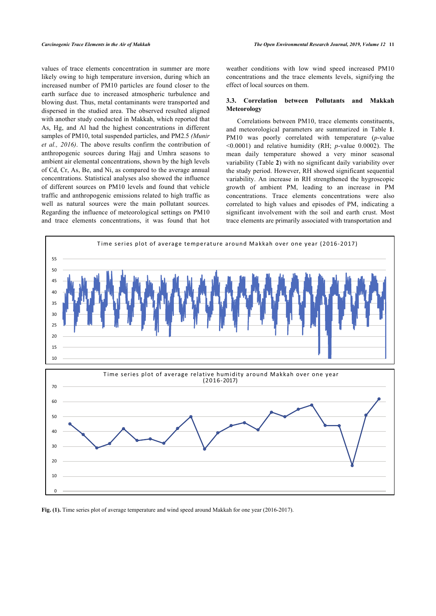values of trace elements concentration in summer are more likely owing to high temperature inversion, during which an increased number of PM10 particles are found closer to the earth surface due to increased atmospheric turbulence and blowing dust. Thus, metal contaminants were transported and dispersed in the studied area. The observed resulted aligned with another study conducted in Makkah, which reported that As, Hg, and Al had the highest concentrations in different samples of PM10, total suspended particles, and PM2.5 *(Munir et al., 2016)*. The above results confirm the contribution of anthropogenic sources during Hajj and Umhra seasons to ambient air elemental concentrations, shown by the high levels of Cd, Cr, As, Be, and Ni, as compared to the average annual concentrations. Statistical analyses also showed the influence of different sources on PM10 levels and found that vehicle traffic and anthropogenic emissions related to high traffic as well as natural sources were the main pollutant sources. Regarding the influence of meteorological settings on PM10 and trace elements concentrations, it was found that hot weather conditions with low wind speed increased PM10 concentrations and the trace elements levels, signifying the effect of local sources on them.

## **3.3. Correlation between Pollutants and Makkah Meteorology**

Correlations between PM10, trace elements constituents, and meteorological parameters are summarized in Table**1**. PM10 was poorly correlated with temperature (*p*-value <0.0001) and relative humidity (RH; *p*-value 0.0002). The mean daily temperature showed a very minor seasonal variability (Table **[2](#page-3-0)**) with no significant daily variability over the study period. However, RH showed significant sequential variability. An increase in RH strengthened the hygroscopic growth of ambient PM, leading to an increase in PM concentrations. Trace elements concentrations were also correlated to high values and episodes of PM, indicating a significant involvement with the soil and earth crust. Most trace elements are primarily associated with transportation and

<span id="page-4-0"></span>

<span id="page-4-1"></span>**Fig. (1).** Time series plot of average temperature and wind speed around Makkah for one year (2016-2017).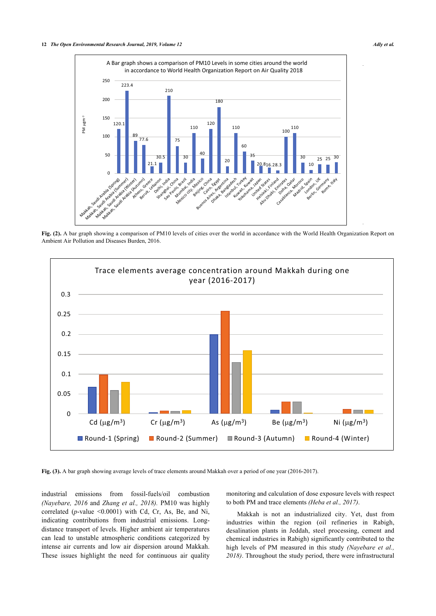

Fig. (2). A bar graph showing a comparison of PM10 levels of cities over the world in accordance with the World Health Organization Report on Ambient Air Pollution and Diseases Burden, 2016.

<span id="page-5-0"></span>

**Fig. (3).** A bar graph showing average levels of trace elements around Makkah over a period of one year (2016-2017).

industrial emissions from fossil-fuels/oil combustion *(Nayebare, 2016* and *Zhang et al., 2018).* PM10 was highly correlated (*p*-value <0.0001) with Cd, Cr, As, Be, and Ni, indicating contributions from industrial emissions. Longdistance transport of levels. Higher ambient air temperatures can lead to unstable atmospheric conditions categorized by intense air currents and low air dispersion around Makkah. These issues highlight the need for continuous air quality monitoring and calculation of dose exposure levels with respect to both PM and trace elements *(Heba et al., 2017)*.

Makkah is not an industrialized city. Yet, dust from industries within the region (oil refineries in Rabigh, desalination plants in Jeddah, steel processing, cement and chemical industries in Rabigh) significantly contributed to the high levels of PM measured in this study *(Nayebare et al., 2018)*. Throughout the study period, there were infrastructural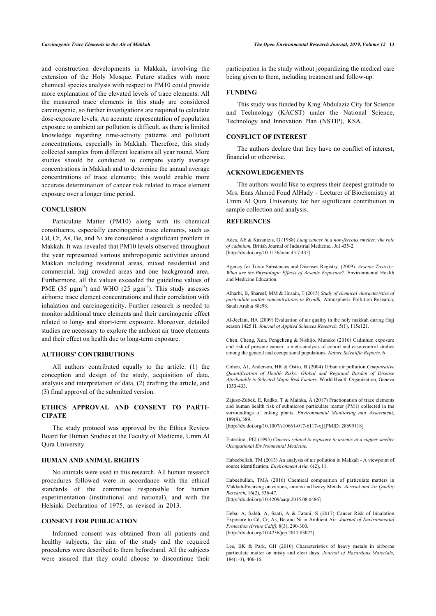and construction developments in Makkah, involving the extension of the Holy Mosque. Future studies with more chemical species analysis with respect to PM10 could provide more explanation of the elevated levels of trace elements. All the measured trace elements in this study are considered carcinogenic, so further investigations are required to calculate dose-exposure levels. An accurate representation of population exposure to ambient air pollution is difficult, as there is limited knowledge regarding time-activity patterns and pollutant concentrations, especially in Makkah. Therefore, this study collected samples from different locations all year round. More studies should be conducted to compare yearly average concentrations in Makkah and to determine the annual average concentrations of trace elements; this would enable more accurate determination of cancer risk related to trace element exposure over a longer time period.

#### **CONCLUSION**

Particulate Matter (PM10) along with its chemical constituents, especially carcinogenic trace elements, such as Cd, Cr, As, Be, and Ni are considered a significant problem in Makkah. It was revealed that PM10 levels observed throughout the year represented various anthropogenic activities around Makkah including residential areas, mixed residential and commercial, hajj crowded areas and one background area. Furthermore, all the values exceeded the guideline values of PME  $(35 \mu \text{gm}^3)$  and WHO  $(25 \mu \text{gm}^3)$ . This study assesses airborne trace element concentrations and their correlation with inhalation and carcinogenicity. Further research is needed to monitor additional trace elements and their carcinogenic effect related to long- and short-term exposure. Moreover, detailed studies are necessary to explore the ambient air trace elements and their effect on health due to long-term exposure.

#### **AUTHORS' CONTRIBUTIONS**

All authors contributed equally to the article: (1) the conception and design of the study, acquisition of data, analysis and interpretation of data, (2) drafting the article, and (3) final approval of the submitted version.

## **ETHICS APPROVAL AND CONSENT TO PARTI-CIPATE**

The study protocol was approved by the Ethics Review Board for Human Studies at the Faculty of Medicine, Umm Al Qura University.

## **HUMAN AND ANIMAL RIGHTS**

No animals were used in this research. All human research procedures followed were in accordance with the ethical standards of the committee responsible for human experimentation (institutional and national), and with the Helsinki Declaration of 1975, as revised in 2013.

#### **CONSENT FOR PUBLICATION**

Informed consent was obtained from all patients and healthy subjects; the aim of the study and the required procedures were described to them beforehand. All the subjects were assured that they could choose to discontinue their

participation in the study without jeopardizing the medical care being given to them, including treatment and follow-up.

#### **FUNDING**

This study was funded by King Abdulaziz City for Science and Technology (KACST) under the National Science, Technology and Innovation Plan (NSTIP), KSA.

#### **CONFLICT OF INTEREST**

The authors declare that they have no conflict of interest, financial or otherwise.

#### **ACKNOWLEDGEMENTS**

The authors would like to express their deepest gratitude to Mrs. Enas Ahmed Foud AlHady – Lecturer of Biochemistry at Umm Al Qura University for her significant contribution in sample collection and analysis.

#### **REFERENCES**

Ades, AE & Kazantzis, G (1988) *Lung cancer in a non-ferrous smelter: the role of cadmium,* British Journal of Industrial Medicine., Jul 435-2. [\[http://dx.doi.org/10.1136/oem.45.7.435\]](http://dx.doi.org/10.1136/oem.45.7.435)

Agency for Toxic Substances and Diseases Registry. (2009). *Arsenic Toxicity: What are the Physiologic Effects of Arsenic Exposure?.* Environmental Health and Medicine Education.

Alharbi, B, Shareef, MM & Husain, T (2015) *Study of chemical characteristics of particulate matter concentrations in Riyadh,* Atmospheric Pollution Research, Saudi Arabia 88e98.

Al-Jeelani, HA (2009) Evaluation of air quality in the holy makkah during Hajj season 1425 H. *Journal of Applied Sciences Research,* 5(1), 115e121.

Chen, Cheng, Xun, Pengcheng & Nishijo, Muneko (2016) Cadmium exposure and risk of prostate cancer: a meta-analysis of cohort and case-control studies among the general and occupational populations. *Nature Scientific Reports,* 6

Cohen, AJ, Anderson, HR & Ostro, B (2004) Urban air pollution.*Comparative Quantification of Health Risks: Global and Regional Burden of Disease Attributable to Selected Major Risk Factors,* World Health Organization, Geneva 1353-433.

Zajusz-Zubek, E, Radko, T & Mainka, A (2017) Fractionation of trace elements and human health risk of submicron particulate matter (PM1) collected in the surroundings of coking plants. *Environmental Monitoring and Assessment,* 189(8), 389.

[\[http://dx.doi.org/10.1007/s10661-017-6117-x\]](http://dx.doi.org/10.1007/s10661-017-6117-x) [PMID: [28699118](http://www.ncbi.nlm.nih.gov/pubmed/28699118)]

Enterline , PEI (1995) *Cancers related to exposure to arsenic at a copper smelter Occupational Environmental Medicine.*

Habeebullah, TM (2013) An analysis of air pollution in Makkah - A viewpoint of source identification. *Environment Asia,* 6(2), 11.

Habeebullah, TMA (2016) Chemical composition of particulate matters in Makkah-Focusing on cations, anions and heavy Metals. *Aerosol and Air Quality Research,* 16(2), 336-47. [\[http://dx.doi.org/10.4209/aaqr.2015.08.0486\]](http://dx.doi.org/10.4209/aaqr.2015.08.0486)

Heba, A, Saleh, A, Saati, A & Fatani, S (2017) Cancer Risk of Inhalation Exposure to Cd, Cr, As, Be and Ni in Ambient Air. *Journal of Environmental Protection (Irvine Calif),* 8(3), 290-300. [\[http://dx.doi.org/10.4236/jep.2017.83022](http://dx.doi.org/10.4236/jep.2017.83022)]

Lee, BK & Park, GH (2010) Characteristics of heavy metals in airborne particulate matter on misty and clear days. *Journal of Hazardous Materials,* 184(1-3), 406-16.